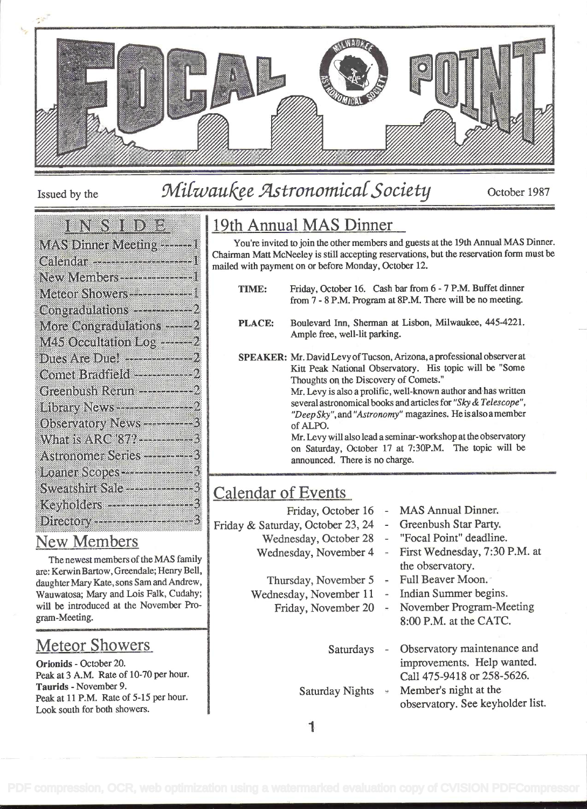

# Issued by the Milwaukee Astronomical Society October 1987

#### entena de la po e.

| МАЅ Dimer Meann, ——1             |
|----------------------------------|
| Calendar --------------------1   |
| New Members ------------------   |
| Meteor Showers ---------------   |
|                                  |
| More Congradulations - ---- 2    |
| M45 Occultation Log -------2     |
| Comet Bradfield ---------------2 |
|                                  |
|                                  |
| Observatory News-----------      |
| What is ARC 877-----------       |
| Astronomer Series ------------   |
| Loaner Scopes -----------------  |
| Sweatshirt Sale ---------------  |
|                                  |
|                                  |

#### New Members

The newest members of the MAS family are: Kerwin Bartow, Greendale; Henry Bell, daughter Mary Kate, sons Sam and Andrew, Wauwatosa; Mary and Lois Falk, Cudahy; will be introduced at the November Program-Meeting.

# Meteor Showers

Orionids - October 20. Peak at 3 A.M. Rate of 10-70 per hour. Taurids - November 9. Peak at 11 P.M. Rate of 5-15 per hour. Look south for both showers.

# 19th Annual MAS Dinner

You're invited to join the other members and guests at the 19th Annual MAS Dinner. Chairman Matt McNeeley is still accepting reservations, but the reservation form must be mailed with payment on or before Monday, October 12.

- TIME: Friday, October 16. Cash bar from 6-7 P.M. Buffet dinner from 7 -8 P.M. Program at 8P.M. There will be no meeting.
- PLACE: Boulevard Inn, Sherman at Lisbon, Milwaukee, 445-4221. Ample free, well-lit parking.
- SPEAKER: Mr. David Levy of Tucson, Arizona, a professional observer at Kitt Peak National Observatory. His topic will be "Some Thoughts on the Discovery of Comets."

Mr. Levy is also a prolific, well-known author and has written several astronomical books and articles for "Sky & Telescope", "Deep Sky", and "Astronomy" magazines. He is also a member of ALPO.

Mr. Levy will also lead a seminar-workshop at the observatory on Saturday, October 17 at 7:30P.M. The topic will be announced. There is no charge.

# Calendar of Events

- Friday, October 16
- Friday & Saturday, October 23, 24
	- Wednesday, October 28
	- Wednesday, November 4
	- Thursday, November 5 Full Beaver Moon.
	- Wednesday, November 11 Indian Summer begins.
		-
- MAS Annual Dinner.
- Greenbush Star Party.
- "Focal Point" deadline.
- First Wednesday, 7:30 P.M. at the observatory.
- 
- 
- Friday, November 20 November Program-Meeting 8:00 P.M. at the CATC.
	- Saturdays Observatory maintenance and improvements. Help wanted. Call 475-9418 or 258-5626.
	- Saturday Nights  $\cdot$  Member's night at the observatory. See keyholder list.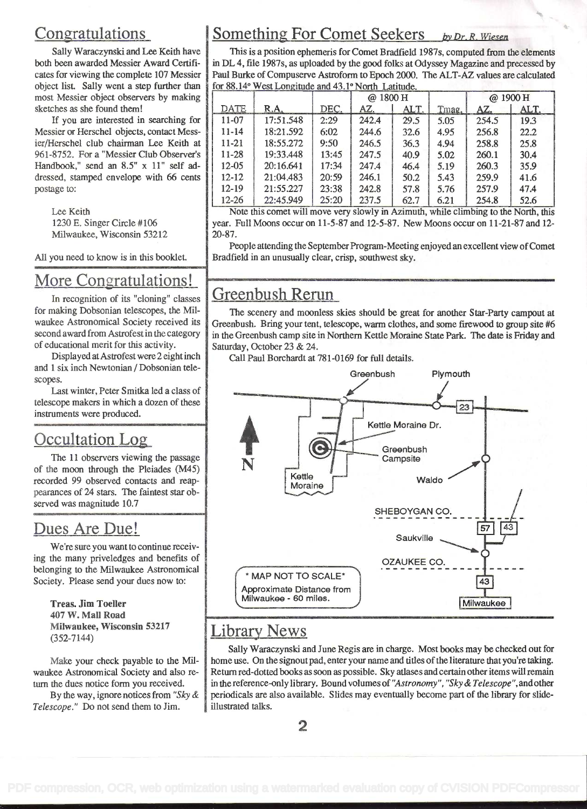# Congratulations

Sally Waraczynski and Lee Keith have both been awarded Messier Award Certificates for viewing the complete 107 Messier object list. Sally went a step further than most Messier object observers by making sketches as she found them!

If you are interested in searching for Messier or Herschel objects, contact Messier/Herschel club chairman Lee Keith at 961-8752. For a "Messier Club Observer's Handbook," send an 8.5" x 11" self addressed, stamped envelope with 66 cents postage to:

Lee Keith 1230 E. Singer Circle #106 Milwaukee, Wisconsin 53212

All you need to know is in this booklet

# More Congratulations!

In recognition of its "cloning" classes for making Dobsonian telescopes, the Milwaukee Astronomical Society received its second award from Astrofest in the category of educational ment for this activity.

Displayed at Astrofest were 2 eight inch and 1 six inch Newtonian / Dobsonian telescopes.

Last winter, Peter Smitka led a class of telescope makers in which a dozen of these instruments were produced.

## Occultation Log

The 11 observers viewing the passage of the moon through the Pleiades (M45) recorded 99 observed contacts and reappearances of 24 stars. The faintest star observed was magnitude 10.7

## Dues Are Due!

We're sure you want to continue receiving the many priveledges and benefits of belonging to the Milwaukee Astronomical Society. Please send your dues now to:

Treas. Jim Toeller 407 W. Mall Road Milwaukee, Wisconsin 53217 (352-7144)

Make your check payable to the Milwaukee Astronomical Society and also re turn the dues notice form you received.

By the way, ignore notices from "Sky  $\&$ Telescope." Do not send them to Jim.

# Something For Comet Seekers by Dr. R. Wiesen

This is a position ephemeris for Comet Bradfield 1987s, computed from the elements in DL 4, file 1987s, as uploaded by the good folks at Odyssey Magazine and precessed by Paul Burke of Compuserve Astroform to Epoch 2000. The ALT-AZ values are calculated for 88.14° West Longitude and 43.1° North Latitude.

|           |           |       | @ 1800 H |      |       | @ 1900 H |      |
|-----------|-----------|-------|----------|------|-------|----------|------|
| DATE      | R.A       | DEC.  | AZ.      | ALT. | Tmag. | AZ.      | ALT. |
| 11-07     | 17:51.548 | 2:29  | 242.4    | 29.5 | 5.05  | 254.5    | 19.3 |
| $11 - 14$ | 18:21.592 | 6:02  | 244.6    | 32.6 | 4.95  | 256.8    | 22.2 |
| 11-21     | 18:55.272 | 9:50  | 246.5    | 36.3 | 4.94  | 258.8    | 25.8 |
| $11 - 28$ | 19:33.448 | 13:45 | 247.5    | 40.9 | 5.02  | 260.1    | 30.4 |
| 12-05     | 20:16.641 | 17:34 | 247.4    | 46.4 | 5.19  | 260.3    | 35.9 |
| $12 - 12$ | 21:04.483 | 20:59 | 246.1    | 50.2 | 5.43  | 259.9    | 41.6 |
| $12 - 19$ | 21:55.227 | 23:38 | 242.8    | 57.8 | 5.76  | 257.9    | 47.4 |
| $12 - 26$ | 22:45.949 | 25:20 | 237.5    | 62.7 | 6.21  | 254.8    | 52.6 |

Note this comet will move very slowly in Azimuth, while climbing to the North, this year. Full Moons occur on i 1-5-87 and 12-5-87. New Moons occur on 1 1-21-87 and 12- 20-87.

People attending the September Program-Meeting enjoyed an excellent view of Comet Bradfield in an unusually clear, crisp, southwest sky.

### Greenbush Rerun

The scenery and moonless skies should be great for another Star-Party campout at Greenbush. Bring your tent, telescope, warm clothes, and some firewood to group site #6 in the Greenbush camp site in Northern Kettle Moraine State Park. The date is Friday and Saturday, October 23 & 24.

Call Paul Borchardt at 781-0169 for full details.



### Library News

Sally Waraczynski and June Regis are in charge. Most books may be checked out for home use. On the signout pad, enter your name and titles of the literature that you're taking. Return red-dotted books as soon as possible. Sky atlases and certain other items will remain in the reference-only library. Bound volumes of "Astronomy", "Sky & Telescope", and other periodicals are also available. Slides may eventually become part of the library for slideillustrated talks.